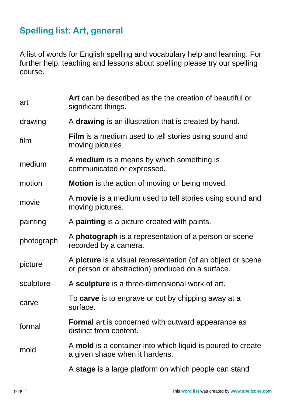## **Spelling list: Art, general**

A list of words for English spelling and vocabulary help and learning. For further help, teaching and lessons about spelling please try our spelling course.

| art        | Art can be described as the the creation of beautiful or<br>significant things.                                 |
|------------|-----------------------------------------------------------------------------------------------------------------|
| drawing    | A drawing is an illustration that is created by hand.                                                           |
| film       | <b>Film</b> is a medium used to tell stories using sound and<br>moving pictures.                                |
| medium     | A medium is a means by which something is<br>communicated or expressed.                                         |
| motion     | <b>Motion</b> is the action of moving or being moved.                                                           |
| movie      | A movie is a medium used to tell stories using sound and<br>moving pictures.                                    |
| painting   | A <b>painting</b> is a picture created with paints.                                                             |
| photograph | A photograph is a representation of a person or scene<br>recorded by a camera.                                  |
| picture    | A picture is a visual representation (of an object or scene<br>or person or abstraction) produced on a surface. |
| sculpture  | A sculpture is a three-dimensional work of art.                                                                 |
| carve      | To carve is to engrave or cut by chipping away at a<br>surface.                                                 |
| formal     | <b>Formal</b> art is concerned with outward appearance as<br>distinct from content.                             |
| mold       | A <b>mold</b> is a container into which liquid is poured to create<br>a given shape when it hardens.            |
|            | A stage is a large platform on which people can stand                                                           |